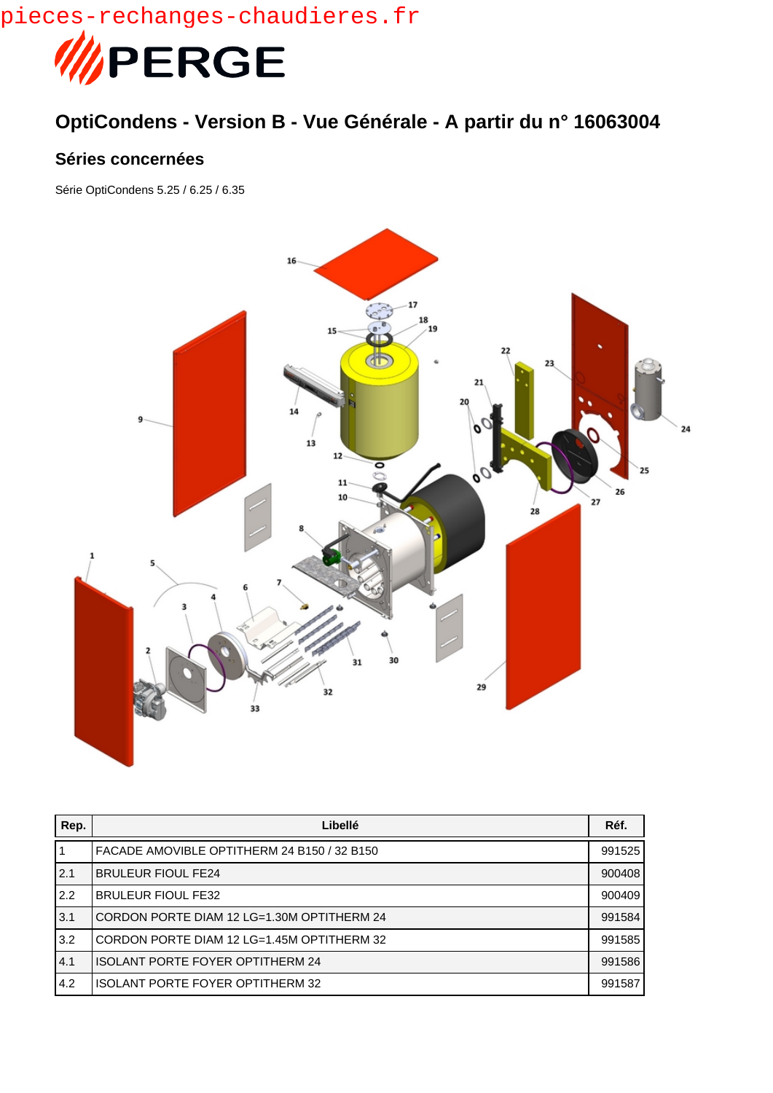pieces-rechanges-chaudieres.fr



## **OptiCondens - Version B - Vue Générale - A partir du n° 16063004**

## **Séries concernées**

Série OptiCondens 5.25 / 6.25 / 6.35



| Rep. | Libellé                                     | Réf.   |
|------|---------------------------------------------|--------|
|      | FACADE AMOVIBLE OPTITHERM 24 B150 / 32 B150 | 991525 |
| 2.1  | <b>BRULEUR FIOUL FE24</b>                   | 900408 |
| 2.2  | <b>BRULEUR FIOUL FE32</b>                   | 900409 |
| 3.1  | CORDON PORTE DIAM 12 LG=1.30M OPTITHERM 24  | 991584 |
| 3.2  | CORDON PORTE DIAM 12 LG=1.45M OPTITHERM 32  | 991585 |
| 4.1  | <b>ISOLANT PORTE FOYER OPTITHERM 24</b>     | 991586 |
| 14.2 | <b>ISOLANT PORTE FOYER OPTITHERM 32</b>     | 991587 |